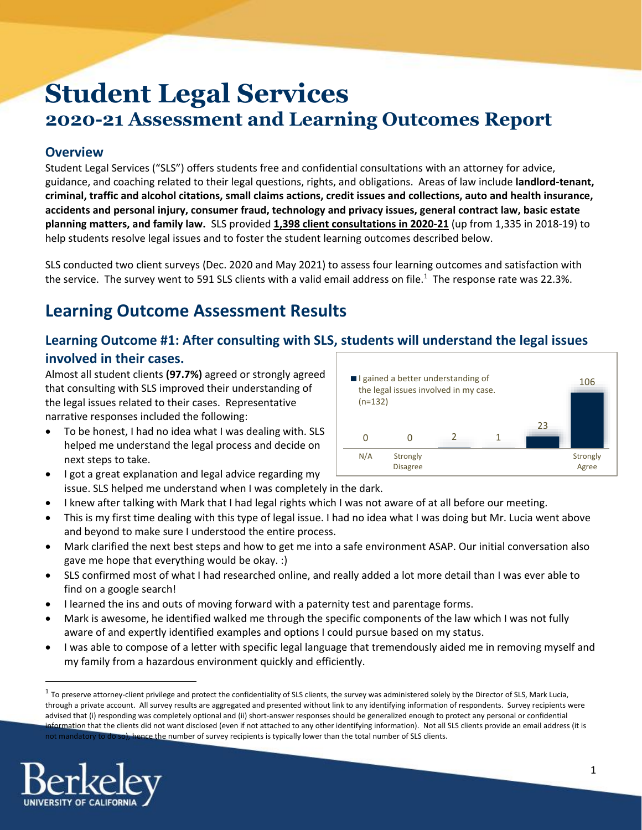# **Student Legal Services 2020-21 Assessment and Learning Outcomes Report**

### **Overview**

Student Legal Services ("SLS") offers students free and confidential consultations with an attorney for advice, guidance, and coaching related to their legal questions, rights, and obligations. Areas of law include **landlord-tenant, criminal, traffic and alcohol citations, small claims actions, credit issues and collections, auto and health insurance, accidents and personal injury, consumer fraud, technology and privacy issues, general contract law, basic estate planning matters, and family law.** SLS provided **1,398 client consultations in 2020-21** (up from 1,335 in 2018-19) to help students resolve legal issues and to foster the student learning outcomes described below.

SLS conducted two client surveys (Dec. 2020 and May 2021) to assess four learning outcomes and satisfaction with the service. The survey went to 591 SLS clients with a valid email address on file.<sup>1</sup> The response rate was 22.3%.

# **Learning Outcome Assessment Results**

### **Learning Outcome #1: After consulting with SLS, students will understand the legal issues involved in their cases.**

Almost all student clients **(97.7%)** agreed or strongly agreed that consulting with SLS improved their understanding of the legal issues related to their cases. Representative narrative responses included the following:

- To be honest, I had no idea what I was dealing with. SLS helped me understand the legal process and decide on next steps to take.
- I got a great explanation and legal advice regarding my issue. SLS helped me understand when I was completely in the dark.
- I knew after talking with Mark that I had legal rights which I was not aware of at all before our meeting.
- This is my first time dealing with this type of legal issue. I had no idea what I was doing but Mr. Lucia went above and beyond to make sure I understood the entire process.
- Mark clarified the next best steps and how to get me into a safe environment ASAP. Our initial conversation also gave me hope that everything would be okay. :)
- SLS confirmed most of what I had researched online, and really added a lot more detail than I was ever able to find on a google search!
- I learned the ins and outs of moving forward with a paternity test and parentage forms.
- Mark is awesome, he identified walked me through the specific components of the law which I was not fully aware of and expertly identified examples and options I could pursue based on my status.
- I was able to compose of a letter with specific legal language that tremendously aided me in removing myself and my family from a hazardous environment quickly and efficiently.

 $^1$  To preserve attorney-client privilege and protect the confidentiality of SLS clients, the survey was administered solely by the Director of SLS, Mark Lucia, through a private account. All survey results are aggregated and presented without link to any identifying information of respondents. Survey recipients were advised that (i) responding was completely optional and (ii) short-answer responses should be generalized enough to protect any personal or confidential information that the clients did not want disclosed (even if not attached to any other identifying information). Not all SLS clients provide an email address (it is not mandatory to do so), hence the number of survey recipients is typically lower than the total number of SLS clients.



 $\overline{a}$ 

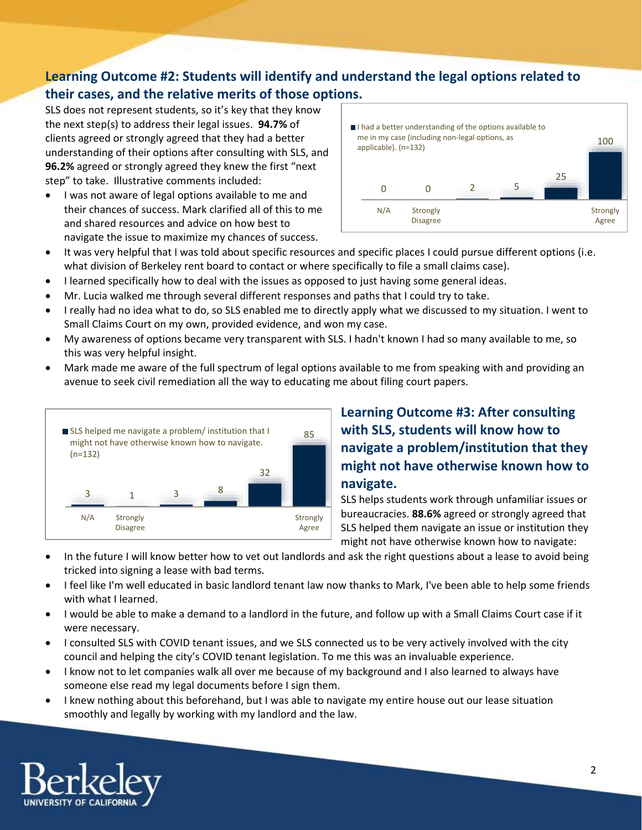## **Learning Outcome #2: Students will identify and understand the legal options related to their cases, and the relative merits of those options.**

SLS does not represent students, so it's key that they know the next step(s) to address their legal issues. **94.7%** of clients agreed or strongly agreed that they had a better understanding of their options after consulting with SLS, and **96.2%** agreed or strongly agreed they knew the first "next step" to take. Illustrative comments included:

• I was not aware of legal options available to me and their chances of success. Mark clarified all of this to me and shared resources and advice on how best to navigate the issue to maximize my chances of success.

| $\blacksquare$ I had a better understanding of the options available to<br>me in my case (including non-legal options, as<br>100<br>applicable). (n=132) |     |                             |  |   |    |                   |
|----------------------------------------------------------------------------------------------------------------------------------------------------------|-----|-----------------------------|--|---|----|-------------------|
|                                                                                                                                                          |     |                             |  | 5 | 25 |                   |
|                                                                                                                                                          | N/A | Strongly<br><b>Disagree</b> |  |   |    | Strongly<br>Agree |

- It was very helpful that I was told about specific resources and specific places I could pursue different options (i.e. what division of Berkeley rent board to contact or where specifically to file a small claims case).
- I learned specifically how to deal with the issues as opposed to just having some general ideas.
- Mr. Lucia walked me through several different responses and paths that I could try to take.
- I really had no idea what to do, so SLS enabled me to directly apply what we discussed to my situation. I went to Small Claims Court on my own, provided evidence, and won my case.
- My awareness of options became very transparent with SLS. I hadn't known I had so many available to me, so this was very helpful insight.
- Mark made me aware of the full spectrum of legal options available to me from speaking with and providing an avenue to seek civil remediation all the way to educating me about filing court papers.



# **Learning Outcome #3: After consulting with SLS, students will know how to navigate a problem/institution that they might not have otherwise known how to navigate.**

SLS helps students work through unfamiliar issues or bureaucracies. **88.6%** agreed or strongly agreed that SLS helped them navigate an issue or institution they might not have otherwise known how to navigate:

- In the future I will know better how to vet out landlords and ask the right questions about a lease to avoid being tricked into signing a lease with bad terms.
- I feel like I'm well educated in basic landlord tenant law now thanks to Mark, I've been able to help some friends with what I learned.
- I would be able to make a demand to a landlord in the future, and follow up with a Small Claims Court case if it were necessary.
- I consulted SLS with COVID tenant issues, and we SLS connected us to be very actively involved with the city council and helping the city's COVID tenant legislation. To me this was an invaluable experience.
- I know not to let companies walk all over me because of my background and I also learned to always have someone else read my legal documents before I sign them.
- I knew nothing about this beforehand, but I was able to navigate my entire house out our lease situation smoothly and legally by working with my landlord and the law.

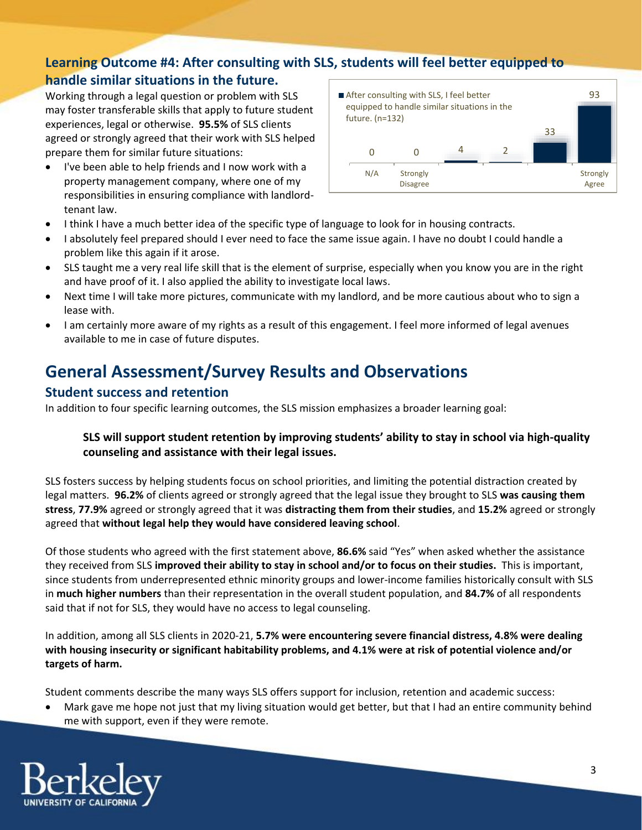## **Learning Outcome #4: After consulting with SLS, students will feel better equipped to handle similar situations in the future.**

Working through a legal question or problem with SLS may foster transferable skills that apply to future student experiences, legal or otherwise. **95.5%** of SLS clients agreed or strongly agreed that their work with SLS helped prepare them for similar future situations:

 I've been able to help friends and I now work with a property management company, where one of my responsibilities in ensuring compliance with landlordtenant law.



- I think I have a much better idea of the specific type of language to look for in housing contracts.
- I absolutely feel prepared should I ever need to face the same issue again. I have no doubt I could handle a problem like this again if it arose.
- SLS taught me a very real life skill that is the element of surprise, especially when you know you are in the right and have proof of it. I also applied the ability to investigate local laws.
- Next time I will take more pictures, communicate with my landlord, and be more cautious about who to sign a lease with.
- I am certainly more aware of my rights as a result of this engagement. I feel more informed of legal avenues available to me in case of future disputes.

# **General Assessment/Survey Results and Observations**

#### **Student success and retention**

In addition to four specific learning outcomes, the SLS mission emphasizes a broader learning goal:

#### **SLS will support student retention by improving students' ability to stay in school via high-quality counseling and assistance with their legal issues.**

SLS fosters success by helping students focus on school priorities, and limiting the potential distraction created by legal matters. **96.2%** of clients agreed or strongly agreed that the legal issue they brought to SLS **was causing them stress**, **77.9%** agreed or strongly agreed that it was **distracting them from their studies**, and **15.2%** agreed or strongly agreed that **without legal help they would have considered leaving school**.

Of those students who agreed with the first statement above, **86.6%** said "Yes" when asked whether the assistance they received from SLS **improved their ability to stay in school and/or to focus on their studies.** This is important, since students from underrepresented ethnic minority groups and lower-income families historically consult with SLS in **much higher numbers** than their representation in the overall student population, and **84.7%** of all respondents said that if not for SLS, they would have no access to legal counseling.

In addition, among all SLS clients in 2020-21, **5.7% were encountering severe financial distress, 4.8% were dealing with housing insecurity or significant habitability problems, and 4.1% were at risk of potential violence and/or targets of harm.**

Student comments describe the many ways SLS offers support for inclusion, retention and academic success:

 Mark gave me hope not just that my living situation would get better, but that I had an entire community behind me with support, even if they were remote.

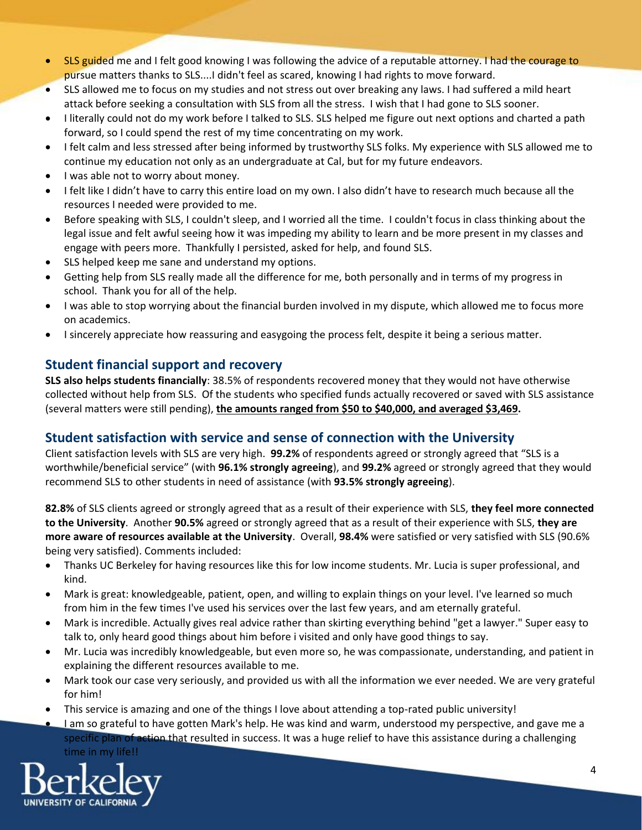- SLS guided me and I felt good knowing I was following the advice of a reputable attorney. I had the courage to pursue matters thanks to SLS....I didn't feel as scared, knowing I had rights to move forward.
- SLS allowed me to focus on my studies and not stress out over breaking any laws. I had suffered a mild heart attack before seeking a consultation with SLS from all the stress. I wish that I had gone to SLS sooner.
- I literally could not do my work before I talked to SLS. SLS helped me figure out next options and charted a path forward, so I could spend the rest of my time concentrating on my work.
- I felt calm and less stressed after being informed by trustworthy SLS folks. My experience with SLS allowed me to continue my education not only as an undergraduate at Cal, but for my future endeavors.
- I was able not to worry about money.
- I felt like I didn't have to carry this entire load on my own. I also didn't have to research much because all the resources I needed were provided to me.
- Before speaking with SLS, I couldn't sleep, and I worried all the time. I couldn't focus in class thinking about the legal issue and felt awful seeing how it was impeding my ability to learn and be more present in my classes and engage with peers more. Thankfully I persisted, asked for help, and found SLS.
- SLS helped keep me sane and understand my options.
- Getting help from SLS really made all the difference for me, both personally and in terms of my progress in school. Thank you for all of the help.
- I was able to stop worrying about the financial burden involved in my dispute, which allowed me to focus more on academics.
- I sincerely appreciate how reassuring and easygoing the process felt, despite it being a serious matter.

### **Student financial support and recovery**

**SLS also helps students financially**: 38.5% of respondents recovered money that they would not have otherwise collected without help from SLS. Of the students who specified funds actually recovered or saved with SLS assistance (several matters were still pending), **the amounts ranged from \$50 to \$40,000, and averaged \$3,469.**

### **Student satisfaction with service and sense of connection with the University**

Client satisfaction levels with SLS are very high. **99.2%** of respondents agreed or strongly agreed that "SLS is a worthwhile/beneficial service" (with **96.1% strongly agreeing**), and **99.2%** agreed or strongly agreed that they would recommend SLS to other students in need of assistance (with **93.5% strongly agreeing**).

**82.8%** of SLS clients agreed or strongly agreed that as a result of their experience with SLS, **they feel more connected to the University**. Another **90.5%** agreed or strongly agreed that as a result of their experience with SLS, **they are more aware of resources available at the University**. Overall, **98.4%** were satisfied or very satisfied with SLS (90.6% being very satisfied). Comments included:

- Thanks UC Berkeley for having resources like this for low income students. Mr. Lucia is super professional, and kind.
- Mark is great: knowledgeable, patient, open, and willing to explain things on your level. I've learned so much from him in the few times I've used his services over the last few years, and am eternally grateful.
- Mark is incredible. Actually gives real advice rather than skirting everything behind "get a lawyer." Super easy to talk to, only heard good things about him before i visited and only have good things to say.
- Mr. Lucia was incredibly knowledgeable, but even more so, he was compassionate, understanding, and patient in explaining the different resources available to me.
- Mark took our case very seriously, and provided us with all the information we ever needed. We are very grateful for him!
- This service is amazing and one of the things I love about attending a top-rated public university!
- I am so grateful to have gotten Mark's help. He was kind and warm, understood my perspective, and gave me a specific plan of action that resulted in success. It was a huge relief to have this assistance during a challenging time in my life!!